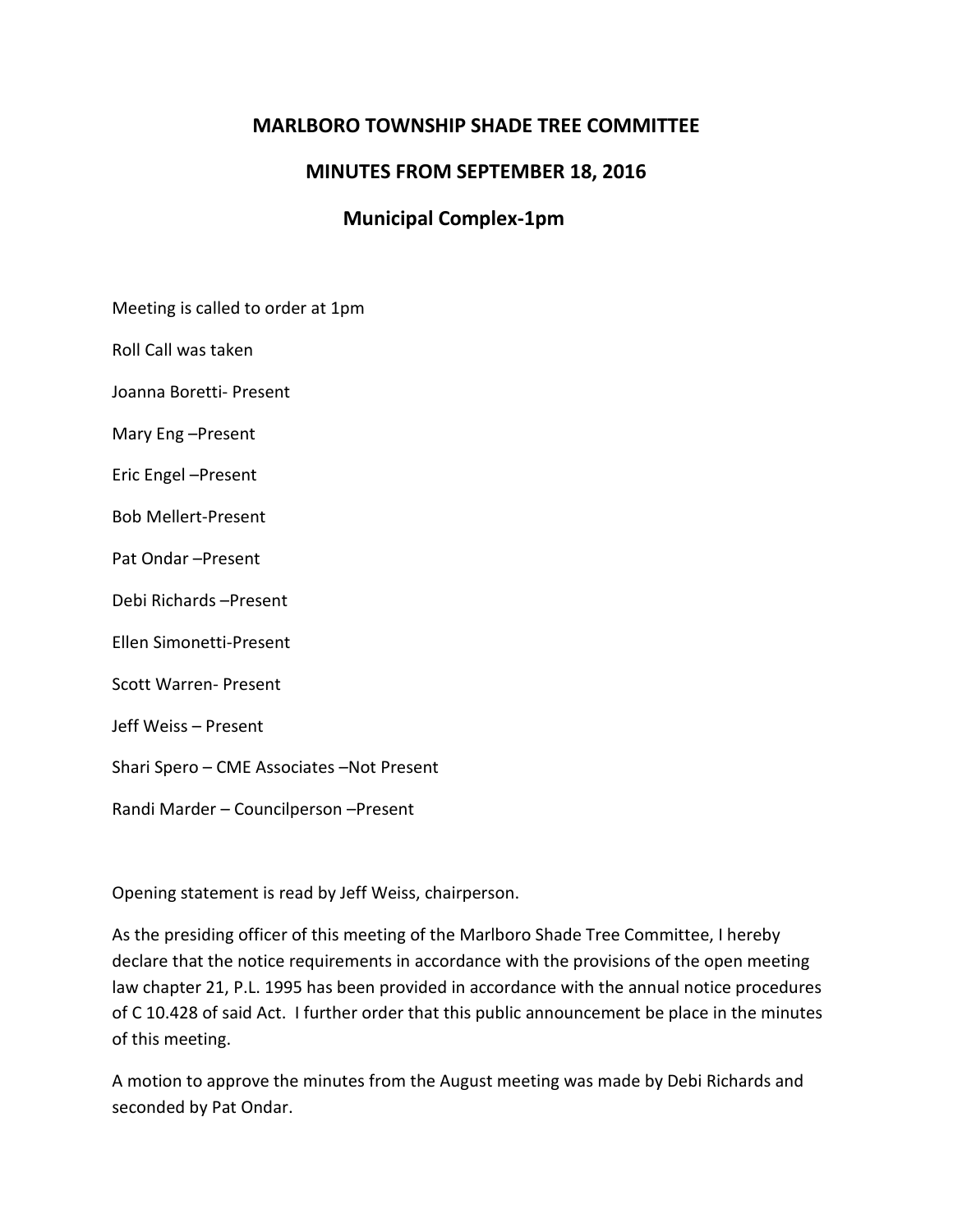# **MARLBORO TOWNSHIP SHADE TREE COMMITTEE**

# **MINUTES FROM SEPTEMBER 18, 2016**

# **Municipal Complex-1pm**

Meeting is called to order at 1pm

Roll Call was taken

Joanna Boretti- Present

Mary Eng –Present

Eric Engel –Present

Bob Mellert-Present

Pat Ondar –Present

Debi Richards –Present

Ellen Simonetti-Present

Scott Warren- Present

Jeff Weiss – Present

Shari Spero – CME Associates –Not Present

Randi Marder – Councilperson –Present

Opening statement is read by Jeff Weiss, chairperson.

As the presiding officer of this meeting of the Marlboro Shade Tree Committee, I hereby declare that the notice requirements in accordance with the provisions of the open meeting law chapter 21, P.L. 1995 has been provided in accordance with the annual notice procedures of C 10.428 of said Act. I further order that this public announcement be place in the minutes of this meeting.

A motion to approve the minutes from the August meeting was made by Debi Richards and seconded by Pat Ondar.